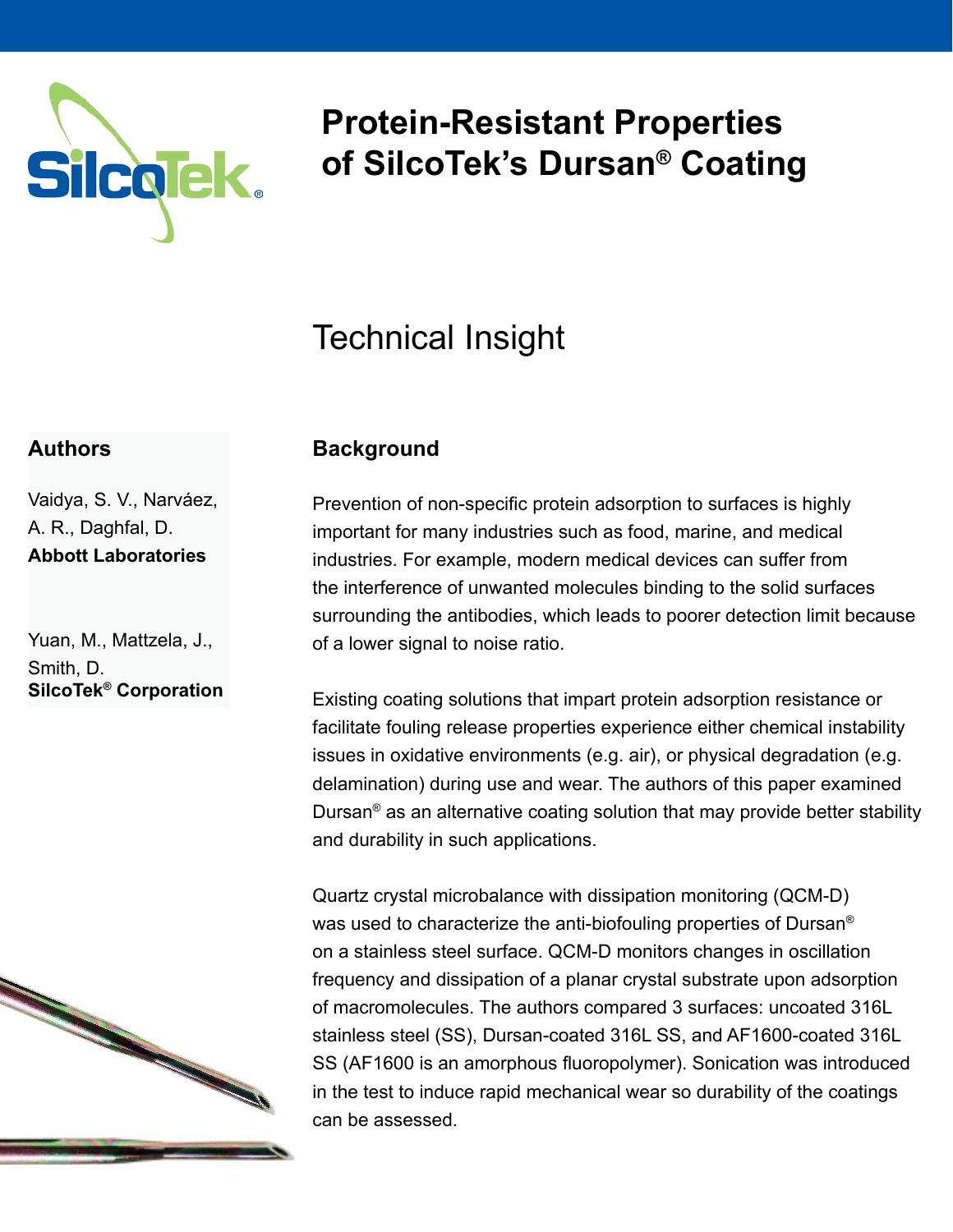

# **Protein-Resistant Properties of SilcoTek's Dursan® Coating**

## Technical Insight

### **Authors**

Vaidya, S. V., Narváez, A. R., Daghfal, D. **Abbott Laboratories**

Yuan, M., Mattzela, J., Smith, D. **SilcoTek® Corporation**



### **Background**

Prevention of non-specific protein adsorption to surfaces is highly important for many industries such as food, marine, and medical industries. For example, modern medical devices can suffer from the interference of unwanted molecules binding to the solid surfaces surrounding the antibodies, which leads to poorer detection limit because of a lower signal to noise ratio.

Existing coating solutions that impart protein adsorption resistance or facilitate fouling release properties experience either chemical instability issues in oxidative environments (e.g. air), or physical degradation (e.g. delamination) during use and wear. The authors of this paper examined Dursan® as an alternative coating solution that may provide better stability and durability in such applications.

Quartz crystal microbalance with dissipation monitoring (QCM-D) was used to characterize the anti-biofouling properties of Dursan® on a stainless steel surface. QCM-D monitors changes in oscillation frequency and dissipation of a planar crystal substrate upon adsorption of macromolecules. The authors compared 3 surfaces: uncoated 316L stainless steel (SS), Dursan-coated 316L SS, and AF1600-coated 316L SS (AF1600 is an amorphous fluoropolymer). Sonication was introduced in the test to induce rapid mechanical wear so durability of the coatings can be assessed.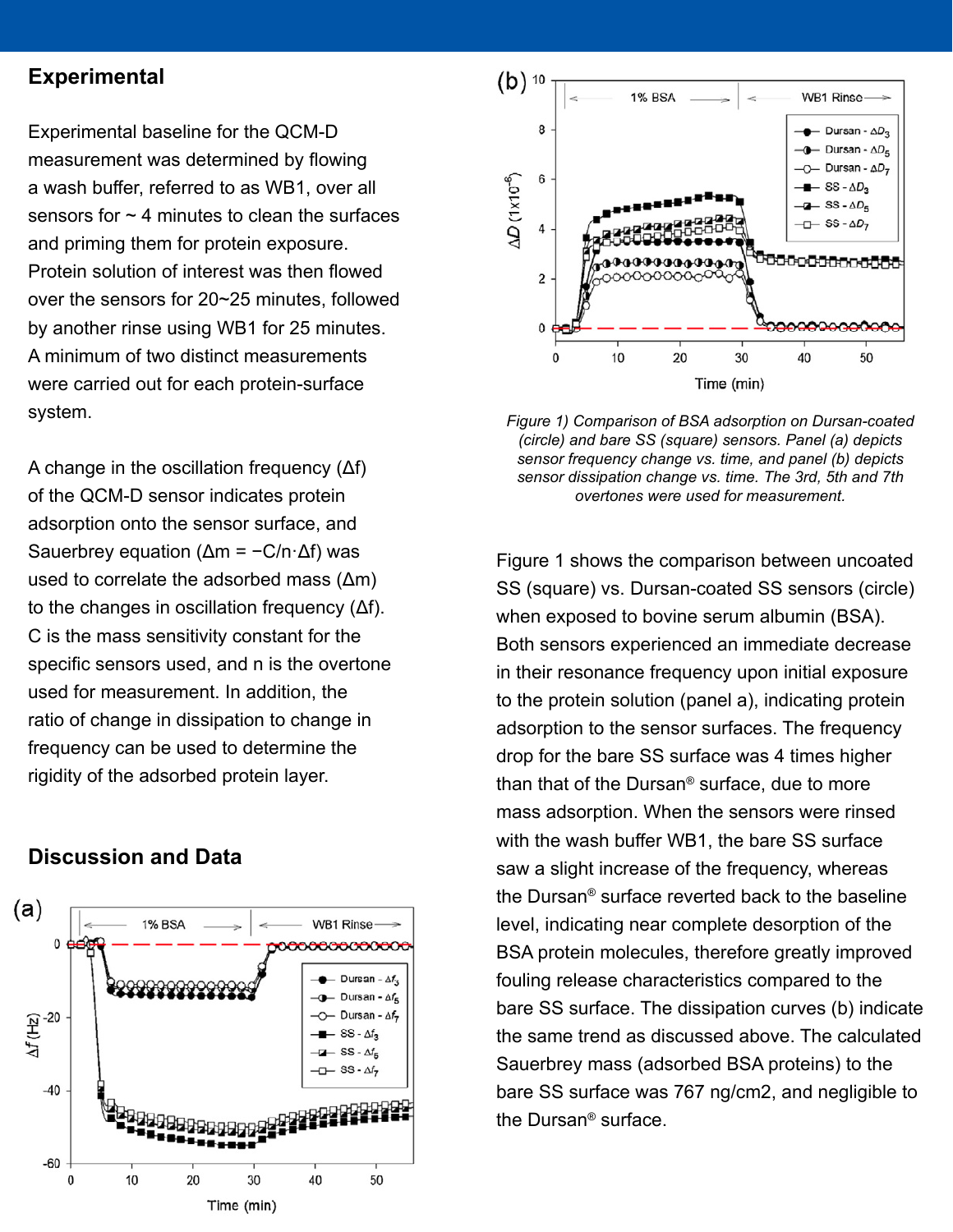#### **Experimental**

Experimental baseline for the QCM-D measurement was determined by flowing a wash buffer, referred to as WB1, over all sensors for  $\sim$  4 minutes to clean the surfaces and priming them for protein exposure. Protein solution of interest was then flowed over the sensors for 20~25 minutes, followed by another rinse using WB1 for 25 minutes. A minimum of two distinct measurements were carried out for each protein-surface system.

A change in the oscillation frequency (Δf) of the QCM-D sensor indicates protein adsorption onto the sensor surface, and Sauerbrey equation ( $Δm = -C/n·Δf$ ) was used to correlate the adsorbed mass (Δm) to the changes in oscillation frequency (Δf). C is the mass sensitivity constant for the specific sensors used, and n is the overtone used for measurement. In addition, the ratio of change in dissipation to change in frequency can be used to determine the rigidity of the adsorbed protein layer.

#### **Discussion and Data**





*Figure 1) Comparison of BSA adsorption on Dursan-coated (circle) and bare SS (square) sensors. Panel (a) depicts sensor frequency change vs. time, and panel (b) depicts sensor dissipation change vs. time. The 3rd, 5th and 7th overtones were used for measurement.* 

Figure 1 shows the comparison between uncoated SS (square) vs. Dursan-coated SS sensors (circle) when exposed to bovine serum albumin (BSA). Both sensors experienced an immediate decrease in their resonance frequency upon initial exposure to the protein solution (panel a), indicating protein adsorption to the sensor surfaces. The frequency drop for the bare SS surface was 4 times higher than that of the Dursan® surface, due to more mass adsorption. When the sensors were rinsed with the wash buffer WB1, the bare SS surface saw a slight increase of the frequency, whereas the Dursan® surface reverted back to the baseline level, indicating near complete desorption of the BSA protein molecules, therefore greatly improved fouling release characteristics compared to the bare SS surface. The dissipation curves (b) indicate the same trend as discussed above. The calculated Sauerbrey mass (adsorbed BSA proteins) to the bare SS surface was 767 ng/cm2, and negligible to the Dursan® surface.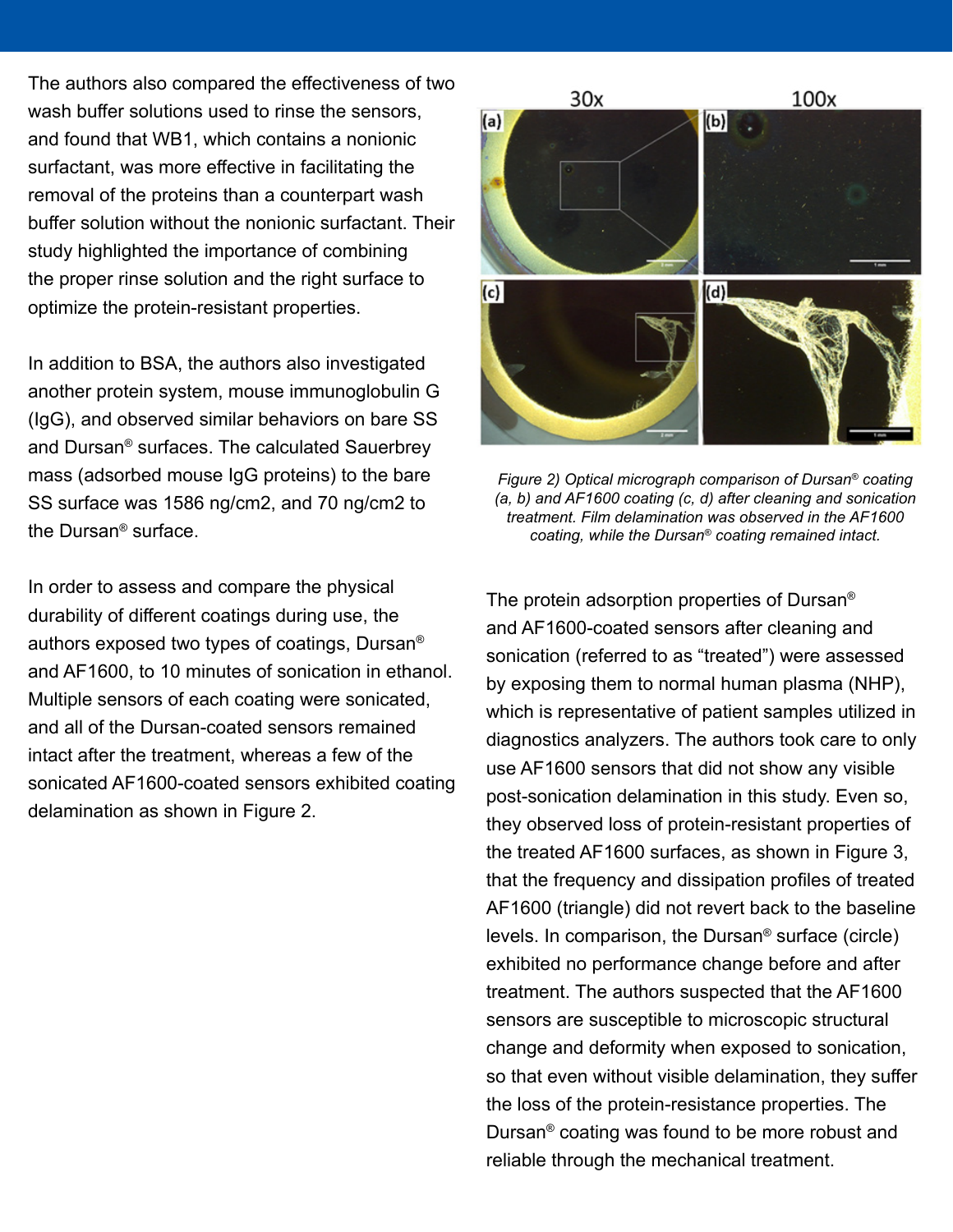The authors also compared the effectiveness of two wash buffer solutions used to rinse the sensors, and found that WB1, which contains a nonionic surfactant, was more effective in facilitating the removal of the proteins than a counterpart wash buffer solution without the nonionic surfactant. Their study highlighted the importance of combining the proper rinse solution and the right surface to optimize the protein-resistant properties.

In addition to BSA, the authors also investigated another protein system, mouse immunoglobulin G (IgG), and observed similar behaviors on bare SS and Dursan® surfaces. The calculated Sauerbrey mass (adsorbed mouse IgG proteins) to the bare SS surface was 1586 ng/cm2, and 70 ng/cm2 to the Dursan® surface.

In order to assess and compare the physical durability of different coatings during use, the authors exposed two types of coatings, Dursan® and AF1600, to 10 minutes of sonication in ethanol. Multiple sensors of each coating were sonicated, and all of the Dursan-coated sensors remained intact after the treatment, whereas a few of the sonicated AF1600-coated sensors exhibited coating delamination as shown in Figure 2.



*Figure 2) Optical micrograph comparison of Dursan® coating (a, b) and AF1600 coating (c, d) after cleaning and sonication treatment. Film delamination was observed in the AF1600 coating, while the Dursan® coating remained intact.*

The protein adsorption properties of Dursan® and AF1600-coated sensors after cleaning and sonication (referred to as "treated") were assessed by exposing them to normal human plasma (NHP), which is representative of patient samples utilized in diagnostics analyzers. The authors took care to only use AF1600 sensors that did not show any visible post-sonication delamination in this study. Even so, they observed loss of protein-resistant properties of the treated AF1600 surfaces, as shown in Figure 3, that the frequency and dissipation profiles of treated AF1600 (triangle) did not revert back to the baseline levels. In comparison, the Dursan® surface (circle) exhibited no performance change before and after treatment. The authors suspected that the AF1600 sensors are susceptible to microscopic structural change and deformity when exposed to sonication, so that even without visible delamination, they suffer the loss of the protein-resistance properties. The Dursan® coating was found to be more robust and reliable through the mechanical treatment.